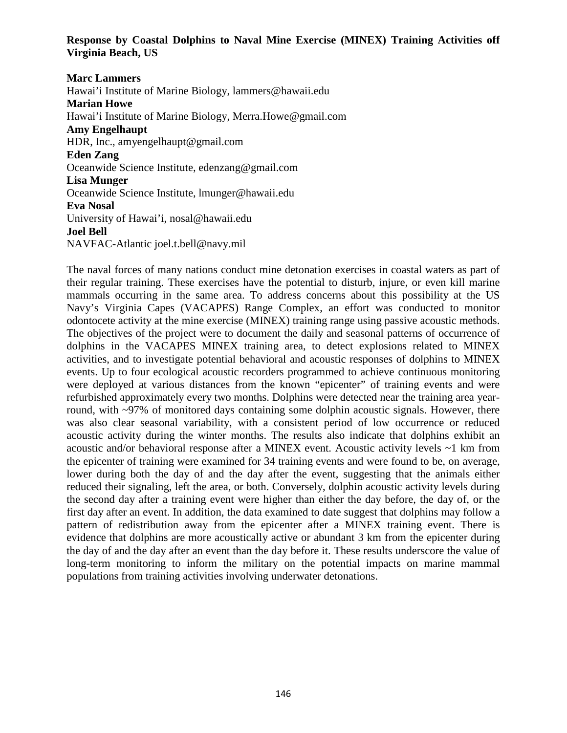**Response by Coastal Dolphins to Naval Mine Exercise (MINEX) Training Activities off Virginia Beach, US**

**Marc Lammers**

Hawai'i Institute of Marine Biology, lammers@hawaii.edu **Marian Howe**  Hawai'i Institute of Marine Biology, Merra.Howe@gmail.com **Amy Engelhaupt** HDR, Inc., amyengelhaupt@gmail.com **Eden Zang** Oceanwide Science Institute, edenzang@gmail.com **Lisa Munger** Oceanwide Science Institute, lmunger@hawaii.edu **Eva Nosal**  University of Hawai'i, [nosal@hawaii.edu](mailto:nosal@hawaii.edu) **Joel Bell**  NAVFAC-Atlantic joel.t.bell@navy.mil

The naval forces of many nations conduct mine detonation exercises in coastal waters as part of their regular training. These exercises have the potential to disturb, injure, or even kill marine mammals occurring in the same area. To address concerns about this possibility at the US Navy's Virginia Capes (VACAPES) Range Complex, an effort was conducted to monitor odontocete activity at the mine exercise (MINEX) training range using passive acoustic methods. The objectives of the project were to document the daily and seasonal patterns of occurrence of dolphins in the VACAPES MINEX training area, to detect explosions related to MINEX activities, and to investigate potential behavioral and acoustic responses of dolphins to MINEX events. Up to four ecological acoustic recorders programmed to achieve continuous monitoring were deployed at various distances from the known "epicenter" of training events and were refurbished approximately every two months. Dolphins were detected near the training area yearround, with ~97% of monitored days containing some dolphin acoustic signals. However, there was also clear seasonal variability, with a consistent period of low occurrence or reduced acoustic activity during the winter months. The results also indicate that dolphins exhibit an acoustic and/or behavioral response after a MINEX event. Acoustic activity levels ~1 km from the epicenter of training were examined for 34 training events and were found to be, on average, lower during both the day of and the day after the event, suggesting that the animals either reduced their signaling, left the area, or both. Conversely, dolphin acoustic activity levels during the second day after a training event were higher than either the day before, the day of, or the first day after an event. In addition, the data examined to date suggest that dolphins may follow a pattern of redistribution away from the epicenter after a MINEX training event. There is evidence that dolphins are more acoustically active or abundant 3 km from the epicenter during the day of and the day after an event than the day before it. These results underscore the value of long-term monitoring to inform the military on the potential impacts on marine mammal populations from training activities involving underwater detonations.